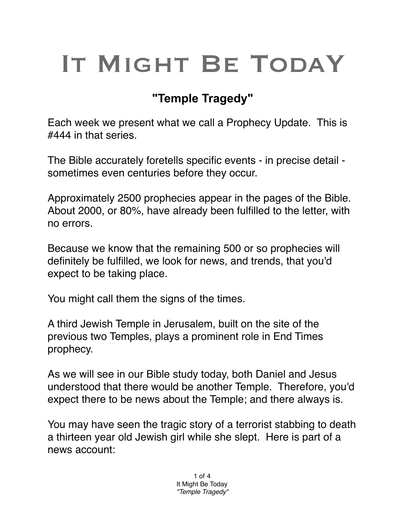## IT MIGHT BE TODAY

## **"Temple Tragedy"**

Each week we present what we call a Prophecy Update. This is #444 in that series.

The Bible accurately foretells specific events - in precise detail sometimes even centuries before they occur.

Approximately 2500 prophecies appear in the pages of the Bible. About 2000, or 80%, have already been fulfilled to the letter, with no errors.

Because we know that the remaining 500 or so prophecies will definitely be fulfilled, we look for news, and trends, that you'd expect to be taking place.

You might call them the signs of the times.

A third Jewish Temple in Jerusalem, built on the site of the previous two Temples, plays a prominent role in End Times prophecy.

As we will see in our Bible study today, both Daniel and Jesus understood that there would be another Temple. Therefore, you'd expect there to be news about the Temple; and there always is.

You may have seen the tragic story of a terrorist stabbing to death a thirteen year old Jewish girl while she slept. Here is part of a news account: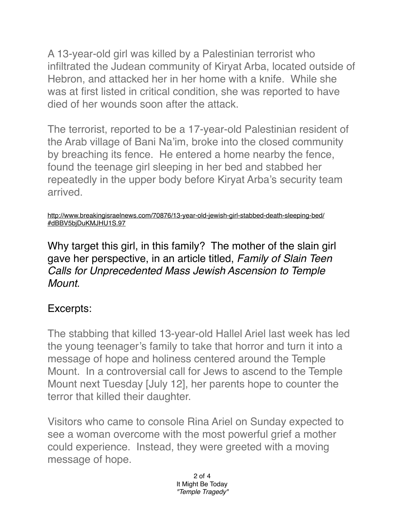A 13-year-old girl was killed by a Palestinian terrorist who infiltrated the Judean community of Kiryat Arba, located outside of Hebron, and attacked her in her home with a knife. While she was at first listed in critical condition, she was reported to have died of her wounds soon after the attack.

The terrorist, reported to be a 17-year-old Palestinian resident of the Arab village of Bani Na'im, broke into the closed community by breaching its fence. He entered a home nearby the fence, found the teenage girl sleeping in her bed and stabbed her repeatedly in the upper body before Kiryat Arba's security team arrived.

[http://www.breakingisraelnews.com/70876/13-year-old-jewish-girl-stabbed-death-sleeping-bed/](http://www.breakingisraelnews.com/70876/13-year-old-jewish-girl-stabbed-death-sleeping-bed/#dBBV5bjDuKMJHU1S.97) #dBBV5bjDuKMJHU1S.97

Why target this girl, in this family? The mother of the slain girl gave her perspective, in an article titled, *Family of Slain Teen Calls for Unprecedented Mass Jewish Ascension to Temple Mount.*

## Excerpts:

The stabbing that killed 13-year-old Hallel Ariel last week has led the young teenager's family to take that horror and turn it into a message of hope and holiness centered around the Temple Mount. In a controversial call for Jews to ascend to the Temple Mount next Tuesday [July 12], her parents hope to counter the terror that killed their daughter.

Visitors who came to console Rina Ariel on Sunday expected to see a woman overcome with the most powerful grief a mother could experience. Instead, they were greeted with a moving message of hope.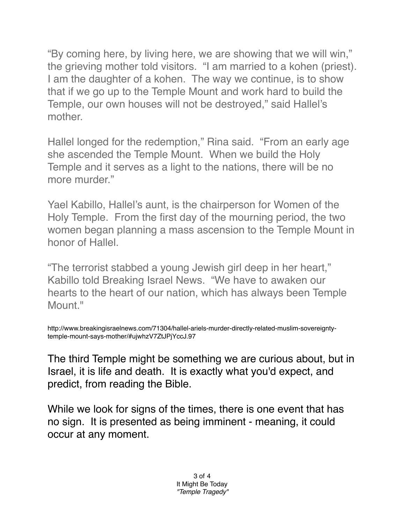"By coming here, by living here, we are showing that we will win," the grieving mother told visitors. "I am married to a kohen (priest). I am the daughter of a kohen. The way we continue, is to show that if we go up to the Temple Mount and work hard to build the Temple, our own houses will not be destroyed," said Hallel's mother.

Hallel longed for the redemption," Rina said. "From an early age she ascended the Temple Mount. When we build the Holy Temple and it serves as a light to the nations, there will be no more murder."

Yael Kabillo, Hallel's aunt, is the chairperson for Women of the Holy Temple. From the first day of the mourning period, the two women began planning a mass ascension to the Temple Mount in honor of Hallel.

"The terrorist stabbed a young Jewish girl deep in her heart," Kabillo told Breaking Israel News. "We have to awaken our hearts to the heart of our nation, which has always been Temple Mount."

http://www.breakingisraelnews.com/71304/hallel-ariels-murder-directly-related-muslim-sovereigntytemple-mount-says-mother/#ujwhzV7ZtJPjYccJ.97

The third Temple might be something we are curious about, but in Israel, it is life and death. It is exactly what you'd expect, and predict, from reading the Bible.

While we look for signs of the times, there is one event that has no sign. It is presented as being imminent - meaning, it could occur at any moment.